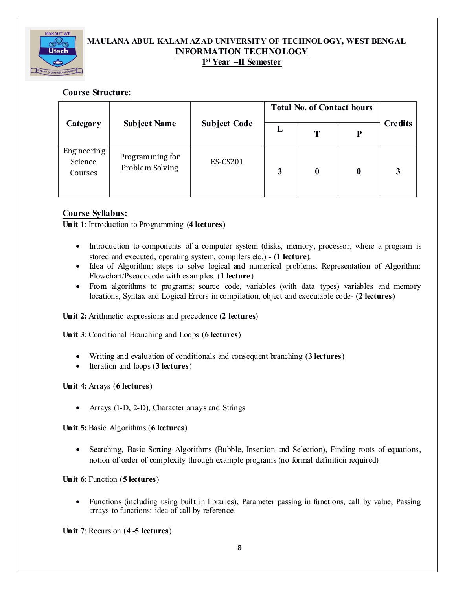

## **MAULANA ABUL KALAM AZAD UNIVERSITY OF TECHNOLOGY, WEST BENGAL INFORMATION TECHNOLOGY 1 st Year –II Semester**

## **Course Structure:**

| Category                          | <b>Subject Name</b>                | <b>Subject Code</b> | <b>Total No. of Contact hours</b> |          |                  |                |
|-----------------------------------|------------------------------------|---------------------|-----------------------------------|----------|------------------|----------------|
|                                   |                                    |                     | L                                 | Т        | D                | <b>Credits</b> |
| Engineering<br>Science<br>Courses | Programming for<br>Problem Solving | <b>ES-CS201</b>     | 3                                 | $\bf{0}$ | $\boldsymbol{0}$ | 3              |

## **Course Syllabus:**

**Unit** 1: Introduction to Programming (4 **lectures**)

- Introduction to components of a computer system (disks, memory, processor, where a program is stored and executed, operating system, compilers etc.) - (**1 lecture**).
- · Idea of Algorithm: steps to solve logical and numerical problems. Representation of Algorithm: Flowchart/Pseudocode with examples. (**1 lecture**)
- · From algorithms to programs; source code, variables (with data types) variables and memory locations, Syntax and Logical Errors in compilation, object and executable code- (**2 lectures**)

**Unit 2:** Arithmetic expressions and precedence (**2 lectures**)

**Unit 3**: Conditional Branching and Loops (**6** lectures)

- · Writing and evaluation of conditionals and consequent branching (**3 lectures**)
- · Iteration and loops (**3 lectures**)

**Unit 4:** Arrays (**6 lectures**)

• Arrays (1-D, 2-D), Character arrays and Strings

**Unit 5:** Basic Algorithms (**6 lectures**)

• Searching, Basic Sorting Algorithms (Bubble, Insertion and Selection), Finding roots of equations, notion of order of complexity through example programs (no formal definition required)

**Unit 6:** Function (**5 lectures**)

• Functions (including using built in libraries), Parameter passing in functions, call by value, Passing arrays to functions: idea of call by reference.

**Unit** 7: Recursion (4-5 **lectures**)